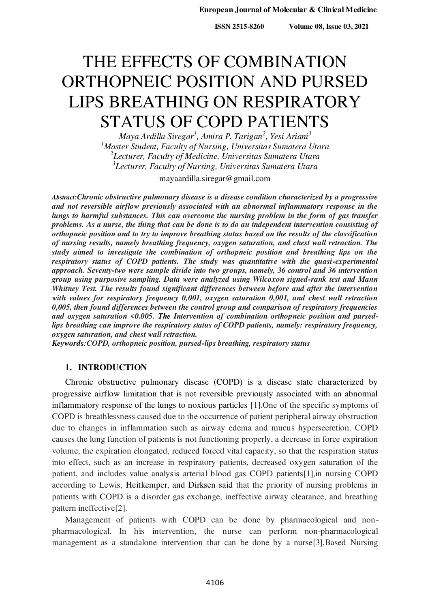**ISSN 2515-8260 Volume 08, Issue 03, 2021**

# THE EFFECTS OF COMBINATION ORTHOPNEIC POSITION AND PURSED LIPS BREATHING ON RESPIRATORY STATUS OF COPD PATIENTS

*Maya Ardilla Siregar<sup>1</sup> , Amira P. Tarigan<sup>2</sup> , Yesi Ariani<sup>3</sup> Master Student, Faculty of Nursing, Universitas Sumatera Utara Lecturer, Faculty of Medicine, Universitas Sumatera Utara Lecturer, Faculty of Nursing, Universitas Sumatera Utara* 

mayaardilla.siregar@gmail.com

*Abstract:Chronic obstructive pulmonary disease is a disease condition characterized by a progressive and not reversible airflow previously associated with an abnormal inflammatory response in the lungs to harmful substances. This can overcome the nursing problem in the form of gas transfer problems. As a nurse, the thing that can be done is to do an independent intervention consisting of orthopneic position and to try to improve breathing status based on the results of the classification of nursing results, namely breathing frequency, oxygen saturation, and chest wall retraction. The study aimed to investigate the combination of orthopneic position and breathing lips on the respiratory status of COPD patients. The study was quantitative with the quasi-experimental approach. Seventy-two were sample divide into two groups, namely, 36 control and 36 intervention group using purposive sampling. Data were analyzed using Wilcoxon signed-rank test and Mann Whitney Test. The results found significant differences between before and after the intervention with values for respiratory frequency 0,001, oxygen saturation 0,001, and chest wall retraction 0,005, then found differences between the control group and comparison of respiratory frequencies and oxygen saturation <0.005. The Intervention of combination orthopneic position and pursedlips breathing can improve the respiratory status of COPD patients, namely: respiratory frequency, oxygen saturation, and chest wall retraction.*

*Keywords:COPD, orthopneic position, pursed-lips breathing, respiratory status*

# **1. INTRODUCTION**

Chronic obstructive pulmonary disease (COPD) is a disease state characterized by progressive airflow limitation that is not reversible previously associated with an abnormal inflammatory response of the lungs to noxious particles [1].One of the specific symptoms of COPD is breathlessness caused due to the occurrence of patient peripheral airway obstruction due to changes in inflammation such as airway edema and mucus hypersecretion. COPD causes the lung function of patients is not functioning properly, a decrease in force expiration volume, the expiration elongated, reduced forced vital capacity, so that the respiration status into effect, such as an increase in respiratory patients, decreased oxygen saturation of the patient, and includes value analysis arterial blood gas COPD patients[1],in nursing COPD according to Lewis, Heitkemper, and Dirksen said that the priority of nursing problems in patients with COPD is a disorder gas exchange, ineffective airway clearance, and breathing pattern ineffective[2].

Management of patients with COPD can be done by pharmacological and nonpharmacological. In his intervention, the nurse can perform non-pharmacological management as a standalone intervention that can be done by a nurse[3],Based Nursing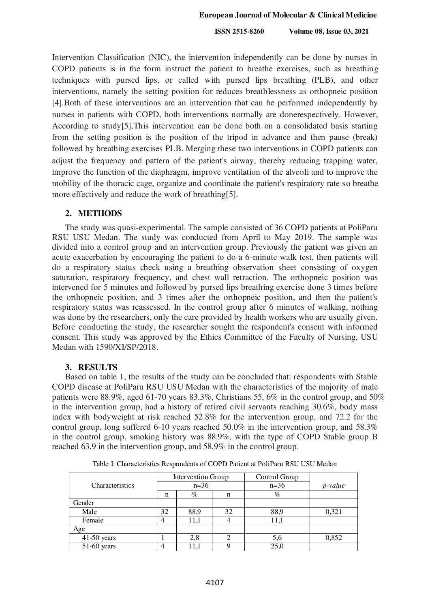## **European Journal of Molecular & Clinical Medicine**

 **ISSN 2515-8260 Volume 08, Issue 03, 2021**

Intervention Classification (NIC), the intervention independently can be done by nurses in COPD patients is in the form instruct the patient to breathe exercises, such as breathing techniques with pursed lips, or called with pursed lips breathing (PLB), and other interventions, namely the setting position for reduces breathlessness as orthopneic position [4].Both of these interventions are an intervention that can be performed independently by nurses in patients with COPD, both interventions normally are donerespectively. However, According to study[5],This intervention can be done both on a consolidated basis starting from the setting position is the position of the tripod in advance and then pause (break) followed by breathing exercises PLB. Merging these two interventions in COPD patients can adjust the frequency and pattern of the patient's airway, thereby reducing trapping water, improve the function of the diaphragm, improve ventilation of the alveoli and to improve the mobility of the thoracic cage, organize and coordinate the patient's respiratory rate so breathe more effectively and reduce the work of breathing[5].

# **2. METHODS**

The study was quasi-experimental. The sample consisted of 36 COPD patients at PoliParu RSU USU Medan. The study was conducted from April to May 2019. The sample was divided into a control group and an intervention group. Previously the patient was given an acute exacerbation by encouraging the patient to do a 6-minute walk test, then patients will do a respiratory status check using a breathing observation sheet consisting of oxygen saturation, respiratory frequency, and chest wall retraction. The orthopneic position was intervened for 5 minutes and followed by pursed lips breathing exercise done 3 times before the orthopneic position, and 3 times after the orthopneic position, and then the patient's respiratory status was reassessed. In the control group after 6 minutes of walking, nothing was done by the researchers, only the care provided by health workers who are usually given. Before conducting the study, the researcher sought the respondent's consent with informed consent. This study was approved by the Ethics Committee of the Faculty of Nursing, USU Medan with 1590/XI/SP/2018.

## **3. RESULTS**

Based on table 1, the results of the study can be concluded that: respondents with Stable COPD disease at PoliParu RSU USU Medan with the characteristics of the majority of male patients were 88.9%, aged 61-70 years 83.3%, Christians 55, 6% in the control group, and 50% in the intervention group, had a history of retired civil servants reaching 30.6%, body mass index with bodyweight at risk reached 52.8% for the intervention group, and 72.2 for the control group, long suffered 6-10 years reached 50.0% in the intervention group, and 58.3% in the control group, smoking history was 88.9%, with the type of COPD Stable group B reached 63.9 in the intervention group, and 58.9% in the control group.

|                 | Intervention Group |      |    | Control Group |         |
|-----------------|--------------------|------|----|---------------|---------|
| Characteristics | $n=36$             |      |    | $n=36$        | p-value |
|                 | n                  | $\%$ | n  | $\%$          |         |
| Gender          |                    |      |    |               |         |
| Male            | 32                 | 88,9 | 32 | 88,9          | 0,321   |
| Female          |                    | 11,1 |    | 11,1          |         |
| Age             |                    |      |    |               |         |
| $41-50$ years   |                    | 2,8  |    | 5,6           | 0,852   |
| 51-60 years     |                    | 11,1 |    |               |         |

Table I: Characteristics Respondents of COPD Patient at PoliParu RSU USU Medan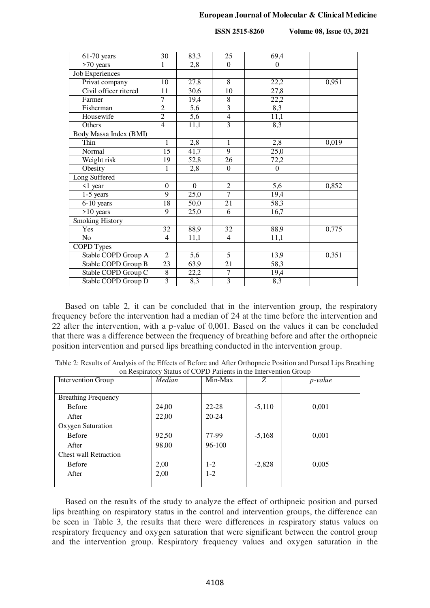## **European Journal of Molecular & Clinical Medicine**

 **ISSN 2515-8260 Volume 08, Issue 03, 2021**

| $61-70$ years           | $\overline{30}$  | 83,3             | $\overline{25}$         | 69,4           |       |
|-------------------------|------------------|------------------|-------------------------|----------------|-------|
| >70 years               | 1                | 2,8              | $\Omega$                | $\Omega$       |       |
| Job Experiences         |                  |                  |                         |                |       |
| Privat company          | 10               | 27,8             | $\overline{8}$          | 22,2           | 0,951 |
| Civil officer ritered   | 11               | 30,6             | 10                      | 27,8           |       |
| Farmer                  | $\boldsymbol{7}$ | 19,4             | $8\,$                   | 22,2           |       |
| Fisherman               | $\overline{c}$   | 5,6              | $\overline{\mathbf{3}}$ | 8,3            |       |
| Housewife               | $\overline{2}$   | 5,6              | $\overline{4}$          | 11,1           |       |
| Others                  | $\overline{4}$   | 11,1             | $\overline{3}$          | 8,3            |       |
| Body Massa Index (BMI)  |                  |                  |                         |                |       |
| Thin                    | 1                | 2,8              | $\mathbf{1}$            | 2,8            | 0,019 |
| Normal                  | 15               | 41,7             | $\overline{9}$          | 25,0           |       |
| Weight risk             | 19               | 52,8             | 26                      | 72,2           |       |
| Obesity                 | 1                | 2,8              | $\Omega$                | $\overline{0}$ |       |
| Long Suffered           |                  |                  |                         |                |       |
| <1 year                 | $\Omega$         | $\boldsymbol{0}$ | $\overline{2}$          | 5,6            | 0,852 |
| $\overline{1}$ -5 years | $\overline{9}$   | 25,0             | $\overline{7}$          | 19,4           |       |
| 6-10 years              | 18               | 50,0             | 21                      | 58,3           |       |
| $>10$ years             | 9                | 25,0             | 6                       | 16,7           |       |
| <b>Smoking History</b>  |                  |                  |                         |                |       |
| Yes                     | 32               | 88,9             | 32                      | 88,9           | 0,775 |
| $\rm No$                | $\overline{4}$   | 11,1             | $\overline{4}$          | 11,1           |       |
| <b>COPD Types</b>       |                  |                  |                         |                |       |
| Stable COPD Group A     | $\overline{2}$   | 5,6              | 5                       | 13,9           | 0,351 |
| Stable COPD Group B     | 23               | 63,9             | $\overline{21}$         | 58,3           |       |
| Stable COPD Group C     | $\,$ 8 $\,$      | 22,2             | $\overline{7}$          | 19,4           |       |
| Stable COPD Group D     | $\overline{3}$   | 8,3              | $\overline{3}$          | 8,3            |       |

Based on table 2, it can be concluded that in the intervention group, the respiratory frequency before the intervention had a median of 24 at the time before the intervention and 22 after the intervention, with a p-value of 0,001. Based on the values it can be concluded that there was a difference between the frequency of breathing before and after the orthopneic position intervention and pursed lips breathing conducted in the intervention group.

| Intervention Group           | Median | Min-Max   | Z        | <i>p</i> -value |
|------------------------------|--------|-----------|----------|-----------------|
|                              |        |           |          |                 |
| <b>Breathing Frequency</b>   |        |           |          |                 |
| <b>Before</b>                | 24,00  | 22-28     | $-5,110$ | 0,001           |
| After                        | 22,00  | $20 - 24$ |          |                 |
| Oxygen Saturation            |        |           |          |                 |
| <b>Before</b>                | 92,50  | 77-99     | $-5,168$ | 0,001           |
| After                        | 98,00  | 96-100    |          |                 |
| <b>Chest wall Retraction</b> |        |           |          |                 |
| <b>Before</b>                | 2,00   | $1 - 2$   | $-2,828$ | 0,005           |
| After                        | 2,00   | $1-2$     |          |                 |
|                              |        |           |          |                 |

Table 2: Results of Analysis of the Effects of Before and After Orthopneic Position and Pursed Lips Breathing on Respiratory Status of COPD Patients in the Intervention Group

Based on the results of the study to analyze the effect of orthipneic position and pursed lips breathing on respiratory status in the control and intervention groups, the difference can be seen in Table 3, the results that there were differences in respiratory status values on respiratory frequency and oxygen saturation that were significant between the control group and the intervention group. Respiratory frequency values and oxygen saturation in the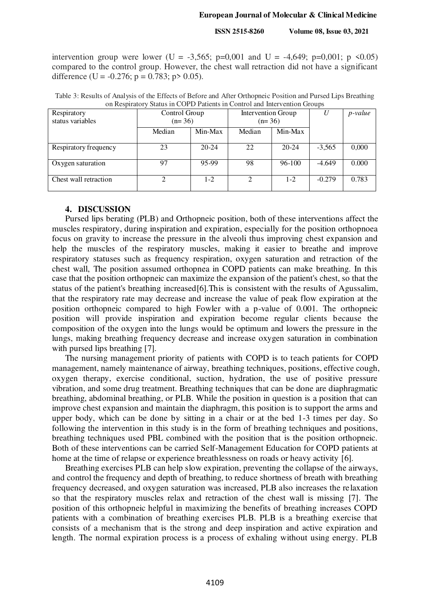## **European Journal of Molecular & Clinical Medicine**

 **ISSN 2515-8260 Volume 08, Issue 03, 2021**

intervention group were lower (U = -3,565; p=0,001 and U = -4,649; p=0,001; p  $\le 0.05$ ) compared to the control group. However, the chest wall retraction did not have a significant difference (U =  $-0.276$ ; p = 0.783; p > 0.05).

| Table 3: Results of Analysis of the Effects of Before and After Orthopneic Position and Pursed Lips Breathing |  |
|---------------------------------------------------------------------------------------------------------------|--|
| on Respiratory Status in COPD Patients in Control and Intervention Groups                                     |  |

| Respiratory<br>status variables | Control Group<br>$(n=36)$ |           | Intervention Group<br>$(n=36)$ |           |          | <i>p</i> -value |
|---------------------------------|---------------------------|-----------|--------------------------------|-----------|----------|-----------------|
|                                 | Median                    | Min-Max   | Median                         | Min-Max   |          |                 |
| Respiratory frequency           | 23                        | $20 - 24$ | 22                             | $20 - 24$ | $-3,565$ | 0,000           |
| Oxygen saturation               | 97                        | 95-99     | 98                             | 96-100    | $-4.649$ | 0.000           |
| Chest wall retraction           |                           | $1-2$     | ∍                              | $1 - 2$   | $-0.279$ | 0.783           |

# **4. DISCUSSION**

Pursed lips berating (PLB) and Orthopneic position, both of these interventions affect the muscles respiratory, during inspiration and expiration, especially for the position orthopnoea focus on gravity to increase the pressure in the alveoli thus improving chest expansion and help the muscles of the respiratory muscles, making it easier to breathe and improve respiratory statuses such as frequency respiration, oxygen saturation and retraction of the chest wall, The position assumed orthopnea in COPD patients can make breathing. In this case that the position orthopneic can maximize the expansion of the patient's chest, so that the status of the patient's breathing increased[6].This is consistent with the results of Agussalim, that the respiratory rate may decrease and increase the value of peak flow expiration at the position orthopneic compared to high Fowler with a p-value of 0.001. The orthopneic position will provide inspiration and expiration become regular clients because the composition of the oxygen into the lungs would be optimum and lowers the pressure in the lungs, making breathing frequency decrease and increase oxygen saturation in combination with pursed lips breathing [7].

The nursing management priority of patients with COPD is to teach patients for COPD management, namely maintenance of airway, breathing techniques, positions, effective cough, oxygen therapy, exercise conditional, suction, hydration, the use of positive pressure vibration, and some drug treatment. Breathing techniques that can be done are diaphragmatic breathing, abdominal breathing, or PLB. While the position in question is a position that can improve chest expansion and maintain the diaphragm, this position is to support the arms and upper body, which can be done by sitting in a chair or at the bed 1-3 times per day. So following the intervention in this study is in the form of breathing techniques and positions, breathing techniques used PBL combined with the position that is the position orthopneic. Both of these interventions can be carried Self-Management Education for COPD patients at home at the time of relapse or experience breathlessness on roads or heavy activity [6].

Breathing exercises PLB can help slow expiration, preventing the collapse of the airways, and control the frequency and depth of breathing, to reduce shortness of breath with breathing frequency decreased, and oxygen saturation was increased, PLB also increases the relaxation so that the respiratory muscles relax and retraction of the chest wall is missing [7]. The position of this orthopneic helpful in maximizing the benefits of breathing increases COPD patients with a combination of breathing exercises PLB. PLB is a breathing exercise that consists of a mechanism that is the strong and deep inspiration and active expiration and length. The normal expiration process is a process of exhaling without using energy. PLB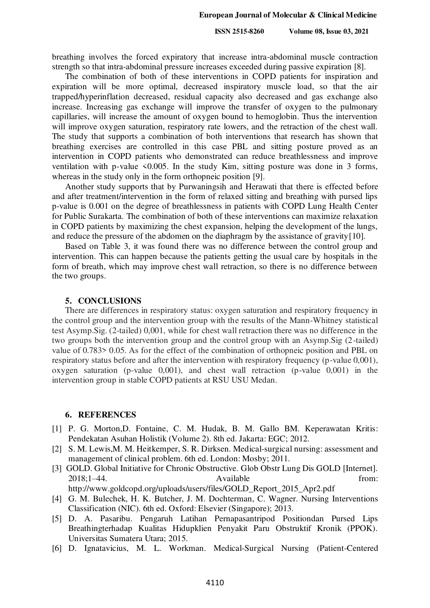breathing involves the forced expiratory that increase intra-abdominal muscle contraction strength so that intra-abdominal pressure increases exceeded during passive expiration [8].

The combination of both of these interventions in COPD patients for inspiration and expiration will be more optimal, decreased inspiratory muscle load, so that the air trapped/hyperinflation decreased, residual capacity also decreased and gas exchange also increase. Increasing gas exchange will improve the transfer of oxygen to the pulmonary capillaries, will increase the amount of oxygen bound to hemoglobin. Thus the intervention will improve oxygen saturation, respiratory rate lowers, and the retraction of the chest wall. The study that supports a combination of both interventions that research has shown that breathing exercises are controlled in this case PBL and sitting posture proved as an intervention in COPD patients who demonstrated can reduce breathlessness and improve ventilation with p-value  $\leq 0.005$ . In the study Kim, sitting posture was done in 3 forms, whereas in the study only in the form orthopneic position [9].

Another study supports that by Purwaningsih and Herawati that there is effected before and after treatment/intervention in the form of relaxed sitting and breathing with pursed lips p-value is 0.001 on the degree of breathlessness in patients with COPD Lung Health Center for Public Surakarta. The combination of both of these interventions can maximize relaxation in COPD patients by maximizing the chest expansion, helping the development of the lungs, and reduce the pressure of the abdomen on the diaphragm by the assistance of gravity[10].

Based on Table 3, it was found there was no difference between the control group and intervention. This can happen because the patients getting the usual care by hospitals in the form of breath, which may improve chest wall retraction, so there is no difference between the two groups.

#### **5. CONCLUSIONS**

There are differences in respiratory status: oxygen saturation and respiratory frequency in the control group and the intervention group with the results of the Mann-Whitney statistical test Asymp.Sig. (2-tailed) 0,001, while for chest wall retraction there was no difference in the two groups both the intervention group and the control group with an Asymp.Sig (2-tailed) value of 0.783> 0.05. As for the effect of the combination of orthopneic position and PBL on respiratory status before and after the intervention with respiratory frequency (p-value 0,001), oxygen saturation (p-value 0,001), and chest wall retraction (p-value 0,001) in the intervention group in stable COPD patients at RSU USU Medan.

## **6. REFERENCES**

- [1] P. G. Morton,D. Fontaine, C. M. Hudak, B. M. Gallo BM. Keperawatan Kritis: Pendekatan Asuhan Holistik (Volume 2). 8th ed. Jakarta: EGC; 2012.
- [2] S. M. Lewis,M. M. Heitkemper, S. R. Dirksen. Medical-surgical nursing: assessment and management of clinical problem. 6th ed. London: Mosby; 2011.
- [3] GOLD. Global Initiative for Chronic Obstructive. Glob Obstr Lung Dis GOLD [Internet]. 2018;1–44. https://www.assett.com/en/archive.com/en/archive.com/en/archive.com/en/archive.com/en/archive.com/ http://www.goldcopd.org/uploads/users/files/GOLD\_Report\_2015\_Apr2.pdf

[4] G. M. Bulechek, H. K. Butcher, J. M. Dochterman, C. Wagner. Nursing Interventions

- Classification (NIC). 6th ed. Oxford: Elsevier (Singapore); 2013.
- [5] D. A. Pasaribu. Pengaruh Latihan Pernapasantripod Positiondan Pursed Lips Breathingterhadap Kualitas Hidupklien Penyakit Paru Obstruktif Kronik (PPOK). Universitas Sumatera Utara; 2015.
- [6] D. Ignatavicius, M. L. Workman. Medical-Surgical Nursing (Patient-Centered